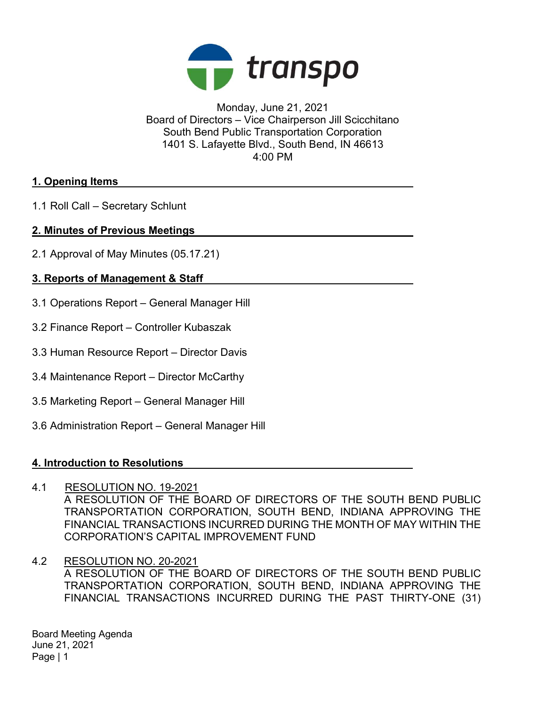

Monday, June 21, 2021 Board of Directors – Vice Chairperson Jill Scicchitano South Bend Public Transportation Corporation 1401 S. Lafayette Blvd., South Bend, IN 46613 4:00 PM

## 1. Opening Items

1.1 Roll Call – Secretary Schlunt

## 2. Minutes of Previous Meetings

2.1 Approval of May Minutes (05.17.21)

# 3. Reports of Management & Staff

- 3.1 Operations Report General Manager Hill
- 3.2 Finance Report Controller Kubaszak
- 3.3 Human Resource Report Director Davis
- 3.4 Maintenance Report Director McCarthy
- 3.5 Marketing Report General Manager Hill
- 3.6 Administration Report General Manager Hill

#### 4. Introduction to Resolutions

#### 4.1 RESOLUTION NO. 19-2021

A RESOLUTION OF THE BOARD OF DIRECTORS OF THE SOUTH BEND PUBLIC TRANSPORTATION CORPORATION, SOUTH BEND, INDIANA APPROVING THE FINANCIAL TRANSACTIONS INCURRED DURING THE MONTH OF MAY WITHIN THE CORPORATION'S CAPITAL IMPROVEMENT FUND

4.2 RESOLUTION NO. 20-2021 A RESOLUTION OF THE BOARD OF DIRECTORS OF THE SOUTH BEND PUBLIC TRANSPORTATION CORPORATION, SOUTH BEND, INDIANA APPROVING THE FINANCIAL TRANSACTIONS INCURRED DURING THE PAST THIRTY-ONE (31)

Board Meeting Agenda June 21, 2021 Page | 1